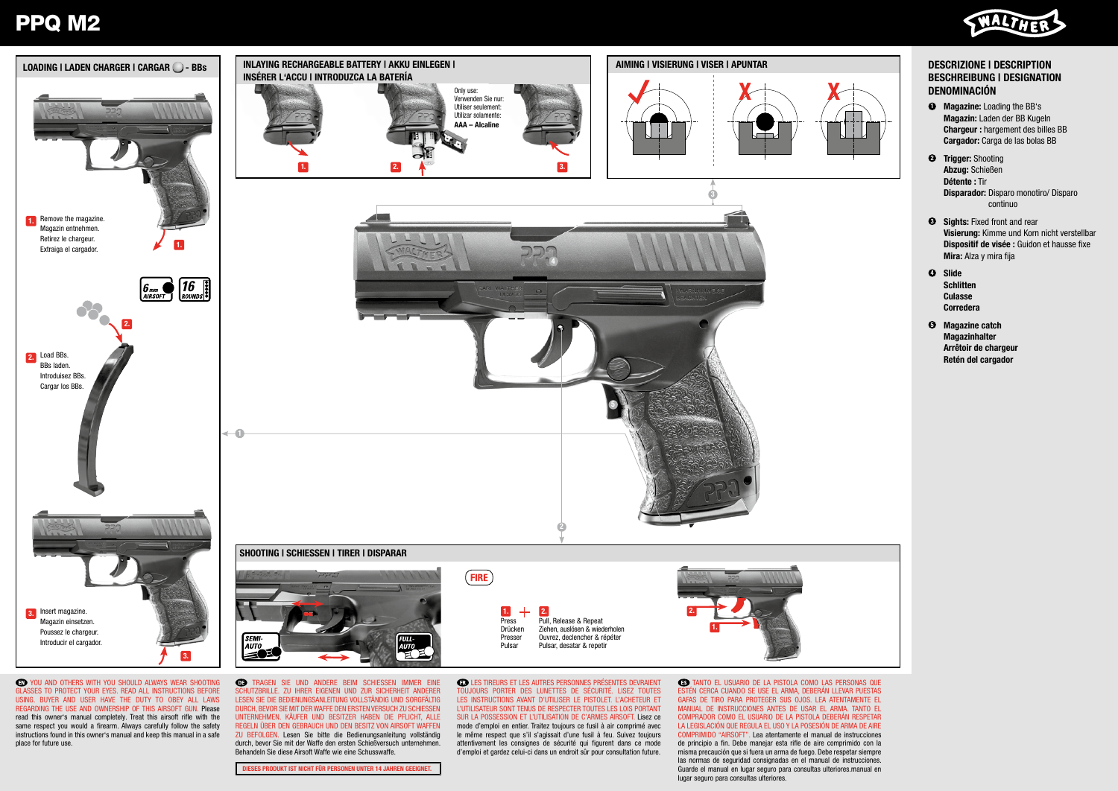## PPQ M2





GLASSES TO PROTECT YOUR EYES. READ ALL INSTRUCTIONS BEFORE USING. BUYER AND USER HAVE THE DUTY TO OBEY ALL LAWS REGARDING THE USE AND OWNERSHIP OF THIS AIRSOFT GUN. Please read this owner's manual completely. Treat this airsoft rifle with the same respect you would a firearm. Always carefully follow the safety instructions found in this owner's manual and keep this manual in a safe place for future use.

SCHUTZBRILLE. ZU IHRER EIGENEN UND ZUR SICHERHEIT ANDERER LESEN SIE DIE BEDIENUNGSANLEITUNG VOLLSTÄNDIG UND SORGFÄLTIG DURCH, BEVOR SIE MIT DER WAFFE DEN ERSTEN VERSUCH ZU SCHIESSEN UNTERNEHMEN. KÄUFER UND BESITZER HABEN DIE PFLICHT, ALLE REGELN ÜBER DEN GEBRAUCH UND DEN BESITZ VON AIRSOFT WAFFEN ZU BEFOLGEN. Lesen Sie bitte die Bedienungsanleitung vollständig durch, bevor Sie mit der Waffe den ersten Schießversuch unternehmen. Behandeln Sie diese Airsoft Waffe wie eine Schusswaffe.

ESES PRODUKT IST NICHT FÜR PERSONEN UNTER 14 JAHREN GEEIGNET.

TOUJOURS PORTER DES LUNETTES DE SÉCURITÉ. LISEZ TOUTES LES INSTRUCTIONS AVANT D'UTILISER LE PISTOLET. L'ACHETEUR ET L'UTILISATEUR SONT TENUS DE RESPECTER TOUTES LES LOIS PORTANT SUR LA POSSESSION ET L'UTILISATION DE C'ARMES AIRSOFT. Lisez ce mode d'emploi en entier. Traitez toujours ce fusil à air comprimé avec le même respect que s'il s'agissait d'une fusil à feu. Suivez toujours attentivement les consignes de sécurité qui figurent dans ce mode d'emploi et gardez celui-ci dans un endroit sûr pour consultation future.

ESTÉN CERCA CUANDO SE USE EL ARMA, DEBERÁN LLEVAR PUESTAS GAFAS DE TIRO PARA PROTEGER SUS OJOS. LEA ATENTAMENTE EL MANUAL DE INSTRUCCIONES ANTES DE USAR EL ARMA. TANTO EL COMPRADOR COMO EL USUARIO DE LA PISTOLA DEBERÁN RESPETAR LA LEGISLACIÓN QUE REGULA EL USO Y LA POSESIÓN DE ARMA DE AIRE COMPRIMIDO "AIRSOFT". Lea atentamente el manual de instrucciones de principio a fin. Debe manejar esta rifle de aire comprimido con la misma precaución que si fuera un arma de fuego. Debe respetar siempre las normas de seguridad consignadas en el manual de instrucciones. Guarde el manual en lugar seguro para consultas ulteriores.manual en lugar seguro para consultas ulteriores.